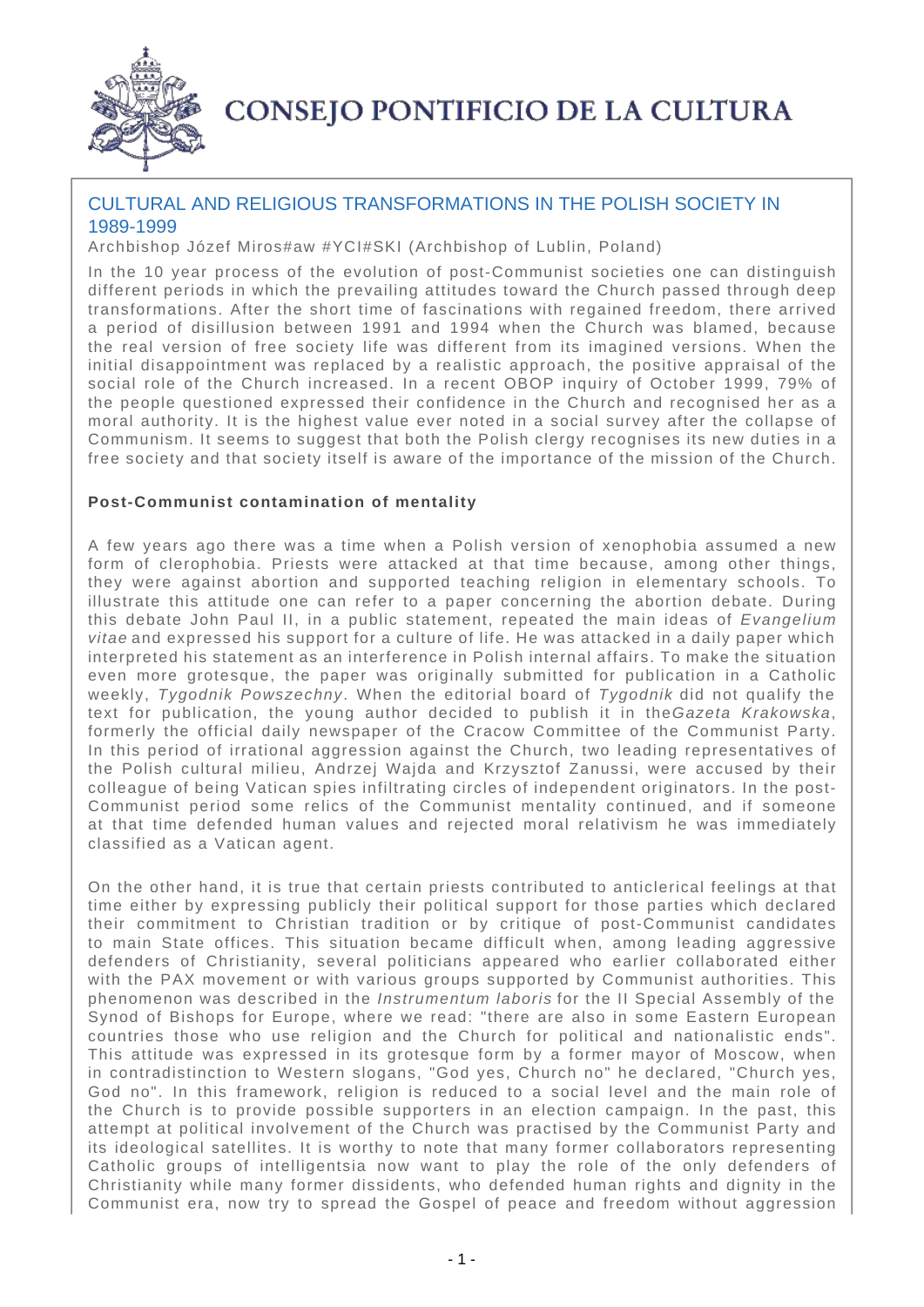

# **CONSEJO PONTIFICIO DE LA CULTURA**

## CULTURAL AND RELIGIOUS TRANSFORMATIONS IN THE POLISH SOCIETY IN 1989-1999

Archbishop Józef Miros#aw #YCI#SKI (Archbishop of Lublin, Poland)

In the 10 year process of the evolution of post-Communist societies one can distinguish different periods in which the prevailing attitudes toward the Church passed through deep transformations. After the short time of fascinations with regained freedom, there arrived a period of disillusion between 1991 and 1994 when the Church was blamed, because the real version of free society life was different from its imagined versions. When the initial disappointment was replaced by a realistic approach, the positive appraisal of the social role of the Church increased. In a recent OBOP inquiry of October 1999, 79% of the people questioned expressed their confidence in the Church and recognised her as a moral authority. It is the highest value ever noted in a social survey after the collapse of Communism. It seems to suggest that both the Polish clergy recognises its new duties in a free society and that society itself is aware of the importance of the mission of the Church.

## **Post-Communist contamination of mentality**

A few years ago there was a time when a Polish version of xenophobia assumed a new form of clerophobia. Priests were attacked at that time because, among other things, they were against abortion and supported teaching religion in elementary schools. To illustrate this attitude one can refer to a paper concerning the abortion debate. During this debate John Paul II, in a public statement, repeated the main ideas of Evangelium vitae and expressed his support for a culture of life. He was attacked in a daily paper which interpreted his statement as an interference in Polish internal affairs. To make the situation even more grotesque, the paper was originally submitted for publication in a Catholic weekly, Tygodnik Powszechny. When the editorial board of Tygodnik did not qualify the text for publication, the young author decided to publish it in the Gazeta Krakowska, formerly the official daily newspaper of the Cracow Committee of the Communist Party. In this period of irrational aggression against the Church, two leading representatives of the Polish cultural milieu, Andrzej Wajda and Krzysztof Zanussi, were accused by their colleague of being Vatican spies infiltrating circles of independent originators. In the post-Communist period some relics of the Communist mentality continued, and if someone at that time defended human values and rejected moral relativism he was immediately classified as a Vatican agent.

On the other hand, it is true that certain priests contributed to anticlerical feelings at that time either by expressing publicly their political support for those parties which declared their commitment to Christian tradition or by critique of post-Communist candidates to main State offices. This situation became difficult when, among leading aggressive defenders of Christianity, several politicians appeared who earlier collaborated either with the PAX movement or with various groups supported by Communist authorities. This phenomenon was described in the Instrumentum laboris for the II Special Assembly of the Synod of Bishops for Europe, where we read: "there are also in some Eastern European countries those who use religion and the Church for political and nationalistic ends". This attitude was expressed in its grotesque form by a former mayor of Moscow, when in contradistinction to Western slogans, "God yes, Church no" he declared, "Church yes, God no". In this framework, religion is reduced to a social level and the main role of the Church is to provide possible supporters in an election campaign. In the past, this attempt at political involvement of the Church was practised by the Communist Party and its ideological satellites. It is worthy to note that many former collaborators representing Catholic groups of intelligentsia now want to play the role of the only defenders of Christianity while many former dissidents, who defended human rights and dignity in the Communist era, now try to spread the Gospel of peace and freedom without aggression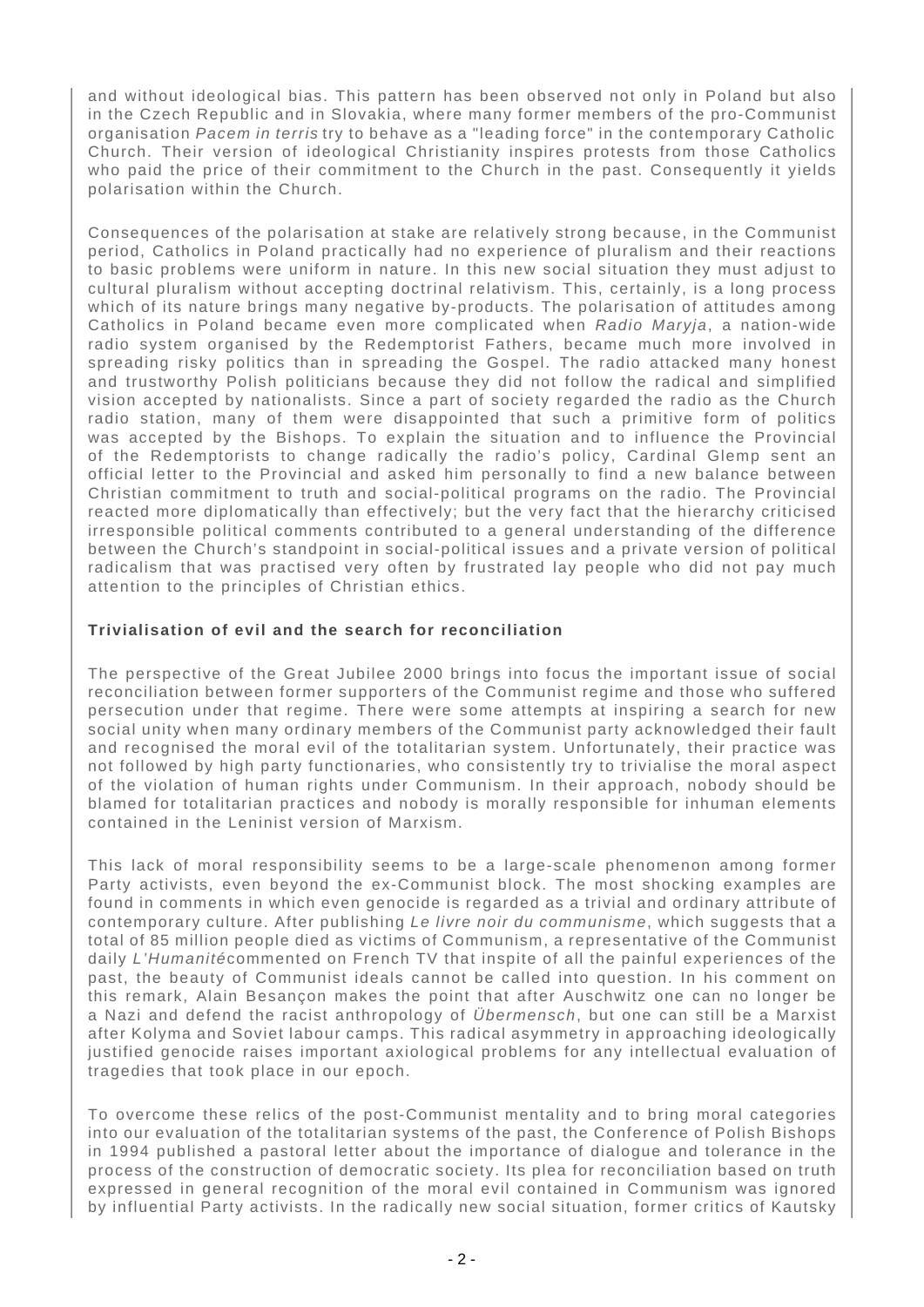and without ideological bias. This pattern has been observed not only in Poland but also in the Czech Republic and in Slovakia, where many former members of the pro-Communist organisation Pacem in terris try to behave as a "leading force" in the contemporary Catholic Church. Their version of ideological Christianity inspires protests from those Catholics who paid the price of their commitment to the Church in the past. Consequently it yields polarisation within the Church.

Consequences of the polarisation at stake are relatively strong because, in the Communist period, Catholics in Poland practically had no experience of pluralism and their reactions to basic problems were uniform in nature. In this new social situation they must adjust to cultural pluralism without accepting doctrinal relativism. This, certainly, is a long process which of its nature brings many negative by-products. The polarisation of attitudes among Catholics in Poland became even more complicated when Radio Maryja, a nation-wide radio system organised by the Redemptorist Fathers, became much more involved in spreading risky politics than in spreading the Gospel. The radio attacked many honest and trustworthy Polish politicians because they did not follow the radical and simplified vision accepted by nationalists. Since a part of society regarded the radio as the Church radio station, many of them were disappointed that such a primitive form of politics was accepted by the Bishops. To explain the situation and to influence the Provincial of the Redemptorists to change radically the radio's policy, Cardinal Glemp sent an official letter to the Provincial and asked him personally to find a new balance between Christian commitment to truth and social-political programs on the radio. The Provincial reacted more diplomatically than effectively; but the very fact that the hierarchy criticised irresponsible political comments contributed to a general understanding of the difference between the Church's standpoint in social-political issues and a private version of political radicalism that was practised very often by frustrated lay people who did not pay much attention to the principles of Christian ethics.

## **Trivialisation of evil and the search for reconciliation**

The perspective of the Great Jubilee 2000 brings into focus the important issue of social reconciliation between former supporters of the Communist regime and those who suffered persecution under that regime. There were some attempts at inspiring a search for new social unity when many ordinary members of the Communist party acknowledged their fault and recognised the moral evil of the totalitarian system. Unfortunately, their practice was not followed by high party functionaries, who consistently try to trivialise the moral aspect of the violation of human rights under Communism. In their approach, nobody should be blamed for totalitarian practices and nobody is morally responsible for inhuman elements contained in the Leninist version of Marxism.

This lack of moral responsibility seems to be a large-scale phenomenon among former Party activists, even beyond the ex-Communist block. The most shocking examples are found in comments in which even genocide is regarded as a trivial and ordinary attribute of contemporary culture. After publishing Le livre noir du communisme, which suggests that a total of 85 million people died as victims of Communism, a representative of the Communist daily L'Humanitécommented on French TV that inspite of all the painful experiences of the past, the beauty of Communist ideals cannot be called into question. In his comment on this remark, Alain Besançon makes the point that after Auschwitz one can no longer be a Nazi and defend the racist anthropology of Übermensch, but one can still be a Marxist after Kolyma and Soviet labour camps. This radical asymmetry in approaching ideologically justified genocide raises important axiological problems for any intellectual evaluation of tragedies that took place in our epoch.

To overcome these relics of the post-Communist mentality and to bring moral categories into our evaluation of the totalitarian systems of the past, the Conference of Polish Bishops in 1994 published a pastoral letter about the importance of dialogue and tolerance in the process of the construction of democratic society. Its plea for reconciliation based on truth expressed in general recognition of the moral evil contained in Communism was ignored by influential Party activists. In the radically new social situation, former critics of Kautsky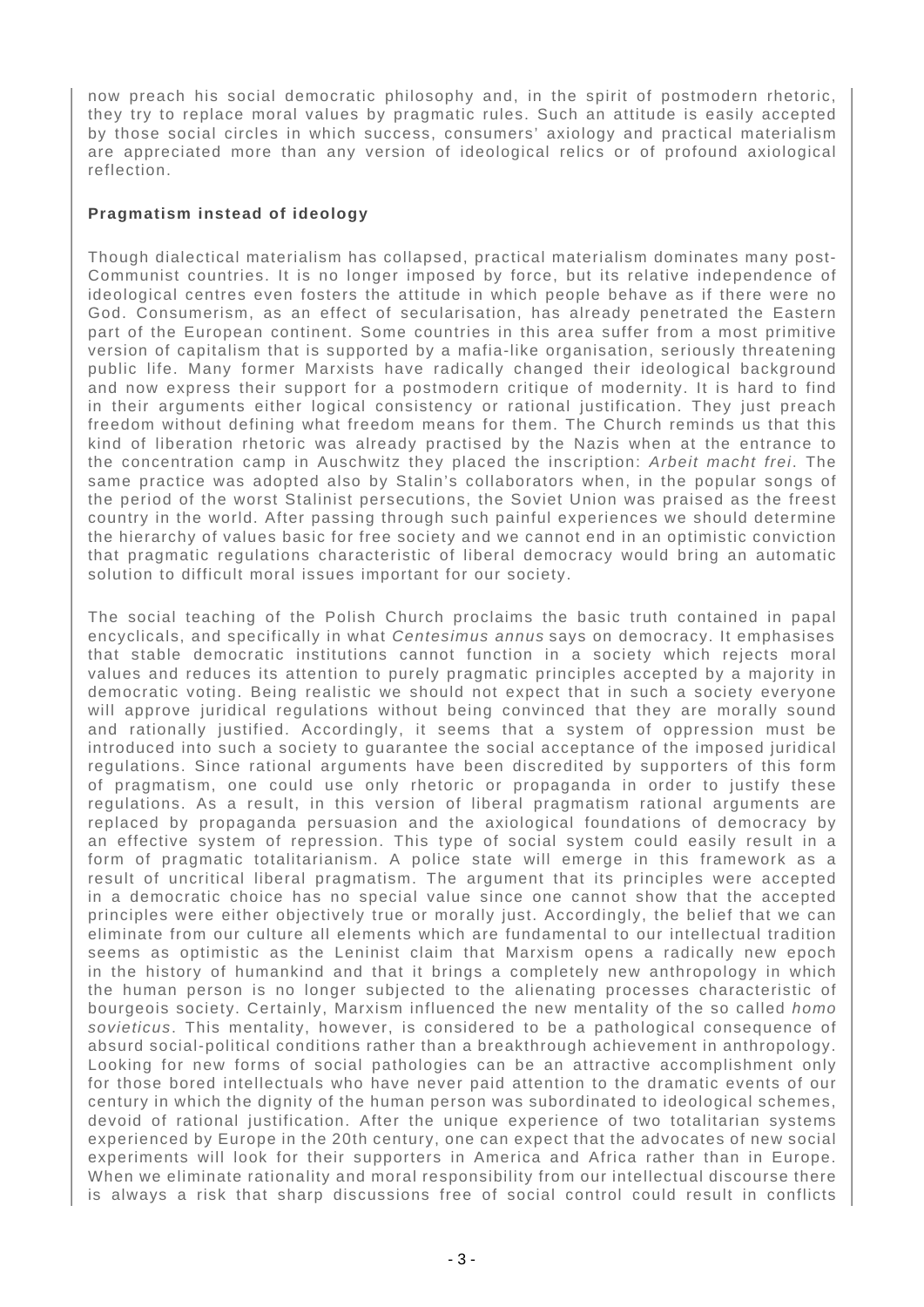now preach his social democratic philosophy and, in the spirit of postmodern rhetoric, they try to replace moral values by pragmatic rules. Such an attitude is easily accepted by those social circles in which success, consumers' axiology and practical materialism are appreciated more than any version of ideological relics or of profound axiological reflection.

## **Pragmatism instead of ideology**

Though dialectical materialism has collapsed, practical materialism dominates many post-Communist countries. It is no longer imposed by force, but its relative independence of ideological centres even fosters the attitude in which people behave as if there were no God. Consumerism, as an effect of secularisation, has already penetrated the Eastern part of the European continent. Some countries in this area suffer from a most primitive version of capitalism that is supported by a mafia-like organisation, seriously threatening public life. Many former Marxists have radically changed their ideological background and now express their support for a postmodern critique of modernity. It is hard to find in their arguments either logical consistency or rational justification. They just preach freedom without defining what freedom means for them. The Church reminds us that this kind of liberation rhetoric was already practised by the Nazis when at the entrance to the concentration camp in Auschwitz they placed the inscription: Arbeit macht frei. The same practice was adopted also by Stalin's collaborators when, in the popular songs of the period of the worst Stalinist persecutions, the Soviet Union was praised as the freest country in the world. After passing through such painful experiences we should determine the hierarchy of values basic for free society and we cannot end in an optimistic conviction that pragmatic regulations characteristic of liberal democracy would bring an automatic solution to difficult moral issues important for our society.

The social teaching of the Polish Church proclaims the basic truth contained in papal encyclicals, and specifically in what Centesimus annus says on democracy. It emphasises that stable democratic institutions cannot function in a society which rejects moral values and reduces its attention to purely pragmatic principles accepted by a majority in democratic voting. Being realistic we should not expect that in such a society everyone will approve juridical regulations without being convinced that they are morally sound and rationally justified. Accordingly, it seems that a system of oppression must be introduced into such a society to guarantee the social acceptance of the imposed juridical regulations. Since rational arguments have been discredited by supporters of this form of pragmatism, one could use only rhetoric or propaganda in order to justify these regulations. As a result, in this version of liberal pragmatism rational arguments are replaced by propaganda persuasion and the axiological foundations of democracy by an effective system of repression. This type of social system could easily result in a form of pragmatic totalitarianism. A police state will emerge in this framework as a result of uncritical liberal pragmatism. The argument that its principles were accepted in a democratic choice has no special value since one cannot show that the accepted principles were either objectively true or morally just. Accordingly, the belief that we can eliminate from our culture all elements which are fundamental to our intellectual tradition seems as optimistic as the Leninist claim that Marxism opens a radically new epoch in the history of humankind and that it brings a completely new anthropology in which the human person is no longer subjected to the alienating processes characteristic of bourgeois society. Certainly, Marxism influenced the new mentality of the so called homo sovieticus. This mentality, however, is considered to be a pathological consequence of absurd social-political conditions rather than a breakthrough achievement in anthropology. Looking for new forms of social pathologies can be an attractive accomplishment only for those bored intellectuals who have never paid attention to the dramatic events of our century in which the dignity of the human person was subordinated to ideological schemes, devoid of rational justification. After the unique experience of two totalitarian systems experienced by Europe in the 20th century, one can expect that the advocates of new social experiments will look for their supporters in America and Africa rather than in Europe. When we eliminate rationality and moral responsibility from our intellectual discourse there is always a risk that sharp discussions free of social control could result in conflicts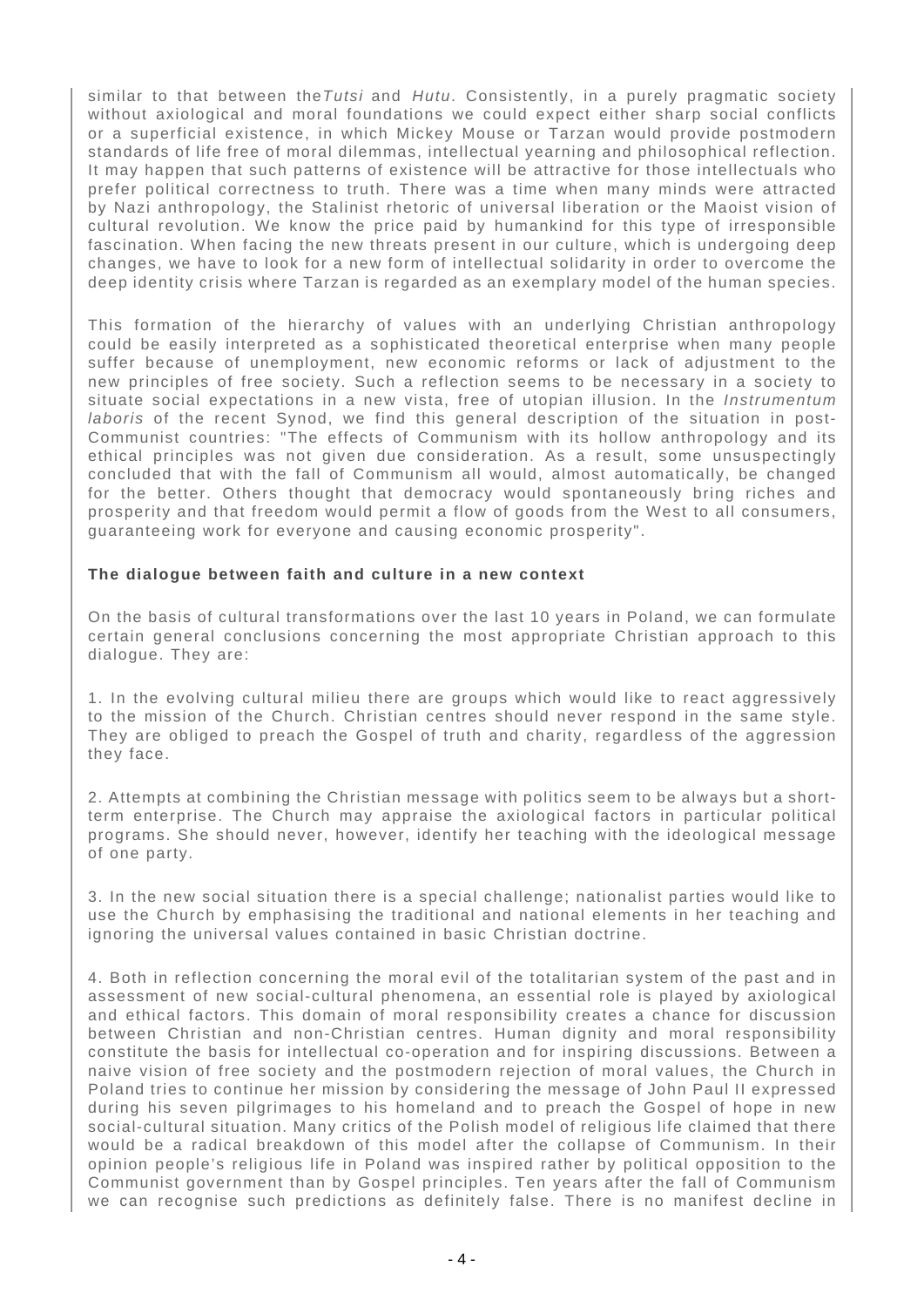similar to that between the Tutsi and Hutu. Consistently, in a purely pragmatic society without axiological and moral foundations we could expect either sharp social conflicts or a superficial existence, in which Mickey Mouse or Tarzan would provide postmodern standards of life free of moral dilemmas, intellectual yearning and philosophical reflection. It may happen that such patterns of existence will be attractive for those intellectuals who prefer political correctness to truth. There was a time when many minds were attracted by Nazi anthropology, the Stalinist rhetoric of universal liberation or the Maoist vision of cultural revolution. We know the price paid by humankind for this type of irresponsible fascination. When facing the new threats present in our culture, which is undergoing deep changes, we have to look for a new form of intellectual solidarity in order to overcome the deep identity crisis where Tarzan is regarded as an exemplary model of the human species.

This formation of the hierarchy of values with an underlying Christian anthropology could be easily interpreted as a sophisticated theoretical enterprise when many people suffer because of unemployment, new economic reforms or lack of adjustment to the new principles of free society. Such a reflection seems to be necessary in a society to situate social expectations in a new vista, free of utopian illusion. In the Instrumentum laboris of the recent Synod, we find this general description of the situation in post-Communist countries: "The effects of Communism with its hollow anthropology and its ethical principles was not given due consideration. As a result, some unsuspectingly concluded that with the fall of Communism all would, almost automatically, be changed for the better. Others thought that democracy would spontaneously bring riches and prosperity and that freedom would permit a flow of goods from the West to all consumers, guaranteeing work for everyone and causing economic prosperity".

#### **The dialogue between faith and culture in a new context**

On the basis of cultural transformations over the last 10 years in Poland, we can formulate certain general conclusions concerning the most appropriate Christian approach to this dialogue. They are:

1. In the evolving cultural milieu there are groups which would like to react aggressively to the mission of the Church. Christian centres should never respond in the same style. They are obliged to preach the Gospel of truth and charity, regardless of the aggression they face.

2. Attempts at combining the Christian message with politics seem to be always but a shortterm enterprise. The Church may appraise the axiological factors in particular political programs. She should never, however, identify her teaching with the ideological message of one party.

3. In the new social situation there is a special challenge; nationalist parties would like to use the Church by emphasising the traditional and national elements in her teaching and ignoring the universal values contained in basic Christian doctrine.

4. Both in reflection concerning the moral evil of the totalitarian system of the past and in assessment of new social-cultural phenomena, an essential role is played by axiological and ethical factors. This domain of moral responsibility creates a chance for discussion between Christian and non-Christian centres. Human dignity and moral responsibility constitute the basis for intellectual co-operation and for inspiring discussions. Between a naive vision of free society and the postmodern rejection of moral values, the Church in Poland tries to continue her mission by considering the message of John Paul II expressed during his seven pilgrimages to his homeland and to preach the Gospel of hope in new social-cultural situation. Many critics of the Polish model of religious life claimed that there would be a radical breakdown of this model after the collapse of Communism. In their opinion people's religious life in Poland was inspired rather by political opposition to the Communist government than by Gospel principles. Ten years after the fall of Communism we can recognise such predictions as definitely false. There is no manifest decline in